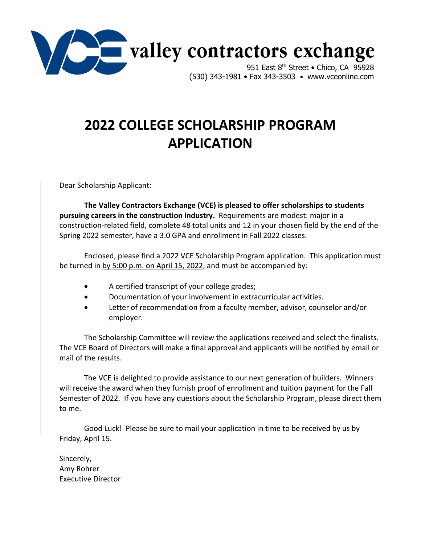

# **2022 COLLEGE SCHOLARSHIP PROGRAM APPLICATION**

Dear Scholarship Applicant:

**The Valley Contractors Exchange (VCE) is pleased to offer scholarships to students pursuing careers in the construction industry.** Requirements are modest: major in a construction‐related field, complete 48 total units and 12 in your chosen field by the end of the Spring 2022 semester, have a 3.0 GPA and enrollment in Fall 2022 classes.

Enclosed, please find a 2022 VCE Scholarship Program application. This application must be turned in by 5:00 p.m. on April 15, 2022, and must be accompanied by:

- A certified transcript of your college grades;
- Documentation of your involvement in extracurricular activities.
- Letter of recommendation from a faculty member, advisor, counselor and/or employer.

The Scholarship Committee will review the applications received and select the finalists. The VCE Board of Directors will make a final approval and applicants will be notified by email or mail of the results.

The VCE is delighted to provide assistance to our next generation of builders. Winners will receive the award when they furnish proof of enrollment and tuition payment for the Fall Semester of 2022. If you have any questions about the Scholarship Program, please direct them to me.

Good Luck! Please be sure to mail your application in time to be received by us by Friday, April 15.

Sincerely, Amy Rohrer Executive Director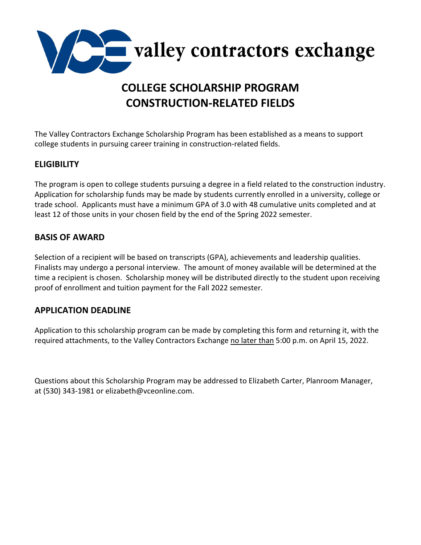

# **COLLEGE SCHOLARSHIP PROGRAM CONSTRUCTION‐RELATED FIELDS**

The Valley Contractors Exchange Scholarship Program has been established as a means to support college students in pursuing career training in construction‐related fields.

### **ELIGIBILITY**

The program is open to college students pursuing a degree in a field related to the construction industry. Application for scholarship funds may be made by students currently enrolled in a university, college or trade school. Applicants must have a minimum GPA of 3.0 with 48 cumulative units completed and at least 12 of those units in your chosen field by the end of the Spring 2022 semester.

### **BASIS OF AWARD**

Selection of a recipient will be based on transcripts (GPA), achievements and leadership qualities. Finalists may undergo a personal interview. The amount of money available will be determined at the time a recipient is chosen. Scholarship money will be distributed directly to the student upon receiving proof of enrollment and tuition payment for the Fall 2022 semester.

### **APPLICATION DEADLINE**

Application to this scholarship program can be made by completing this form and returning it, with the required attachments, to the Valley Contractors Exchange no later than 5:00 p.m. on April 15, 2022.

Questions about this Scholarship Program may be addressed to Elizabeth Carter, Planroom Manager, at (530) 343‐1981 or elizabeth@vceonline.com.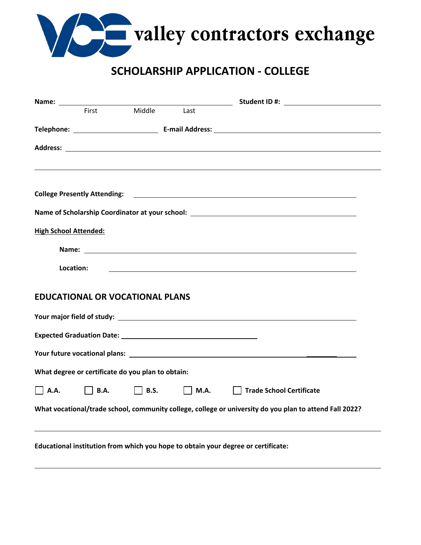

## **SCHOLARSHIP APPLICATION ‐ COLLEGE**

|                              | First                                             | Middle      | Last        |                                                                                                                                                                                                                                                                                |
|------------------------------|---------------------------------------------------|-------------|-------------|--------------------------------------------------------------------------------------------------------------------------------------------------------------------------------------------------------------------------------------------------------------------------------|
|                              |                                                   |             |             |                                                                                                                                                                                                                                                                                |
|                              |                                                   |             |             |                                                                                                                                                                                                                                                                                |
|                              |                                                   |             |             |                                                                                                                                                                                                                                                                                |
|                              | <b>College Presently Attending:</b>               |             |             | <u> 1989 - Johann Barbara, martin amerikan basal dan berasal dan berasal dalam basal dan berasal dan berasal dan</u>                                                                                                                                                           |
|                              |                                                   |             |             | Name of Scholarship Coordinator at your school: _________________________________                                                                                                                                                                                              |
| <b>High School Attended:</b> |                                                   |             |             |                                                                                                                                                                                                                                                                                |
|                              |                                                   |             |             | Name: $\sqrt{2}$ Name: $\sqrt{2}$ Name: $\sqrt{2}$ Name: $\sqrt{2}$ Name: $\sqrt{2}$ Name: $\sqrt{2}$ Name: $\sqrt{2}$ Name: $\sqrt{2}$ Name: $\sqrt{2}$ Name: $\sqrt{2}$ Name: $\sqrt{2}$ Name: $\sqrt{2}$ Name: $\sqrt{2}$ Name: $\sqrt{2}$ Name: $\sqrt{2}$ Name: $\sqrt{2$ |
| Location:                    |                                                   |             |             |                                                                                                                                                                                                                                                                                |
|                              | <b>EDUCATIONAL OR VOCATIONAL PLANS</b>            |             |             |                                                                                                                                                                                                                                                                                |
|                              |                                                   |             |             | Your major field of study: Notice that the study of the state of the state of the state of the state of the st                                                                                                                                                                 |
|                              |                                                   |             |             |                                                                                                                                                                                                                                                                                |
|                              |                                                   |             |             |                                                                                                                                                                                                                                                                                |
|                              | What degree or certificate do you plan to obtain: |             |             |                                                                                                                                                                                                                                                                                |
| <b>A.A.</b>                  | <b>B.A.</b>                                       | <b>B.S.</b> | <b>M.A.</b> | <b>Trade School Certificate</b>                                                                                                                                                                                                                                                |
|                              |                                                   |             |             | What vocational/trade school, community college, college or university do you plan to attend Fall 2022?                                                                                                                                                                        |
|                              |                                                   |             |             |                                                                                                                                                                                                                                                                                |
|                              |                                                   |             |             |                                                                                                                                                                                                                                                                                |

**Educational institution from which you hope to obtain your degree or certificate:**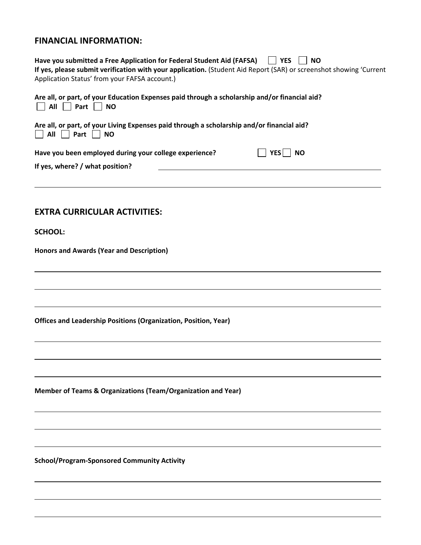### **FINANCIAL INFORMATION:**

| $\vert$ $\vert$ YES<br>Have you submitted a Free Application for Federal Student Aid (FAFSA)<br><b>NO</b><br>If yes, please submit verification with your application. (Student Aid Report (SAR) or screenshot showing 'Current<br>Application Status' from your FAFSA account.) |
|----------------------------------------------------------------------------------------------------------------------------------------------------------------------------------------------------------------------------------------------------------------------------------|
| Are all, or part, of your Education Expenses paid through a scholarship and/or financial aid?<br>All Part NO                                                                                                                                                                     |
| Are all, or part, of your Living Expenses paid through a scholarship and/or financial aid?<br>All<br>Part    <br><b>NO</b>                                                                                                                                                       |
| Have you been employed during your college experience?<br>YES<br><b>NO</b><br>If yes, where? / what position?                                                                                                                                                                    |
| <b>EXTRA CURRICULAR ACTIVITIES:</b>                                                                                                                                                                                                                                              |
| <b>SCHOOL:</b>                                                                                                                                                                                                                                                                   |
| Honors and Awards (Year and Description)                                                                                                                                                                                                                                         |
|                                                                                                                                                                                                                                                                                  |
| Offices and Leadership Positions (Organization, Position, Year)                                                                                                                                                                                                                  |
|                                                                                                                                                                                                                                                                                  |
| Member of Teams & Organizations (Team/Organization and Year)                                                                                                                                                                                                                     |
|                                                                                                                                                                                                                                                                                  |
| <b>School/Program-Sponsored Community Activity</b>                                                                                                                                                                                                                               |
|                                                                                                                                                                                                                                                                                  |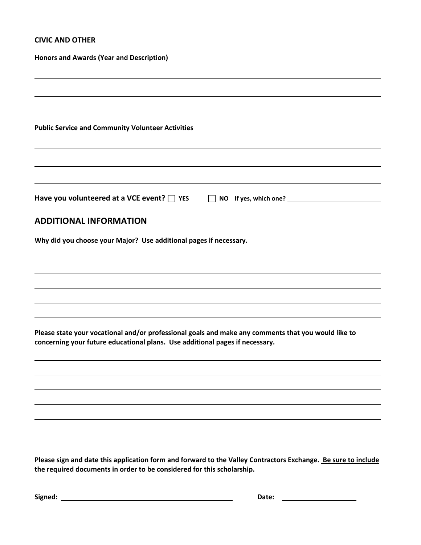#### **CIVIC AND OTHER**

| <b>Honors and Awards (Year and Description)</b>                                                                                                                                         |
|-----------------------------------------------------------------------------------------------------------------------------------------------------------------------------------------|
|                                                                                                                                                                                         |
| <b>Public Service and Community Volunteer Activities</b>                                                                                                                                |
|                                                                                                                                                                                         |
| Have you volunteered at a VCE event? $\Box$ YES<br>NO If yes, which one?<br>NO If yes, which one?                                                                                       |
| <b>ADDITIONAL INFORMATION</b>                                                                                                                                                           |
| Why did you choose your Major? Use additional pages if necessary.                                                                                                                       |
|                                                                                                                                                                                         |
|                                                                                                                                                                                         |
|                                                                                                                                                                                         |
| Please state your vocational and/or professional goals and make any comments that you would like to<br>concerning your future educational plans. Use additional pages if necessary.     |
|                                                                                                                                                                                         |
|                                                                                                                                                                                         |
|                                                                                                                                                                                         |
|                                                                                                                                                                                         |
| Please sign and date this application form and forward to the Valley Contractors Exchange. Be sure to include<br>the required documents in order to be considered for this scholarship. |
| Signed:<br>Date:                                                                                                                                                                        |